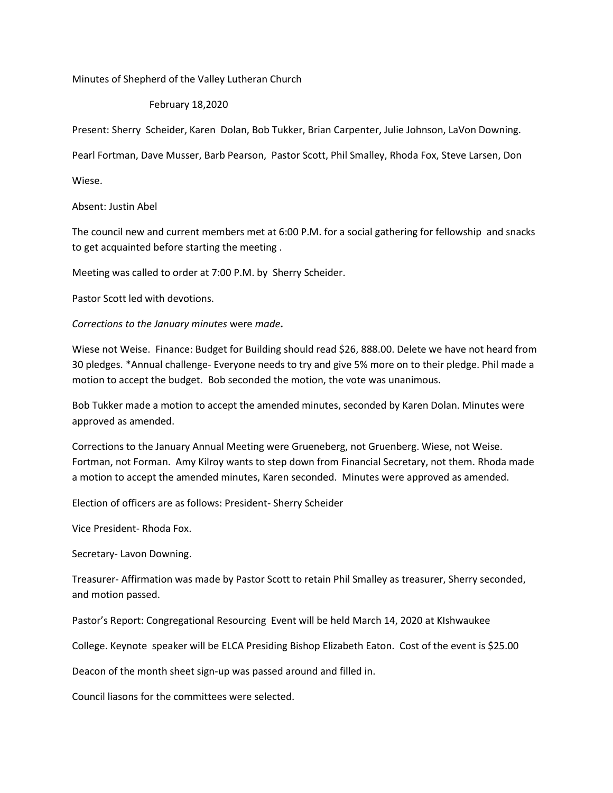Minutes of Shepherd of the Valley Lutheran Church

## February 18,2020

Present: Sherry Scheider, Karen Dolan, Bob Tukker, Brian Carpenter, Julie Johnson, LaVon Downing.

Pearl Fortman, Dave Musser, Barb Pearson, Pastor Scott, Phil Smalley, Rhoda Fox, Steve Larsen, Don

Wiese.

## Absent: Justin Abel

The council new and current members met at 6:00 P.M. for a social gathering for fellowship and snacks to get acquainted before starting the meeting .

Meeting was called to order at 7:00 P.M. by Sherry Scheider.

Pastor Scott led with devotions.

## *Corrections to the January minutes* were *made***.**

Wiese not Weise. Finance: Budget for Building should read \$26, 888.00. Delete we have not heard from 30 pledges. \*Annual challenge- Everyone needs to try and give 5% more on to their pledge. Phil made a motion to accept the budget. Bob seconded the motion, the vote was unanimous.

Bob Tukker made a motion to accept the amended minutes, seconded by Karen Dolan. Minutes were approved as amended.

Corrections to the January Annual Meeting were Grueneberg, not Gruenberg. Wiese, not Weise. Fortman, not Forman. Amy Kilroy wants to step down from Financial Secretary, not them. Rhoda made a motion to accept the amended minutes, Karen seconded. Minutes were approved as amended.

Election of officers are as follows: President- Sherry Scheider

Vice President- Rhoda Fox.

Secretary- Lavon Downing.

Treasurer- Affirmation was made by Pastor Scott to retain Phil Smalley as treasurer, Sherry seconded, and motion passed.

Pastor's Report: Congregational Resourcing Event will be held March 14, 2020 at KIshwaukee

College. Keynote speaker will be ELCA Presiding Bishop Elizabeth Eaton. Cost of the event is \$25.00

Deacon of the month sheet sign-up was passed around and filled in.

Council liasons for the committees were selected.